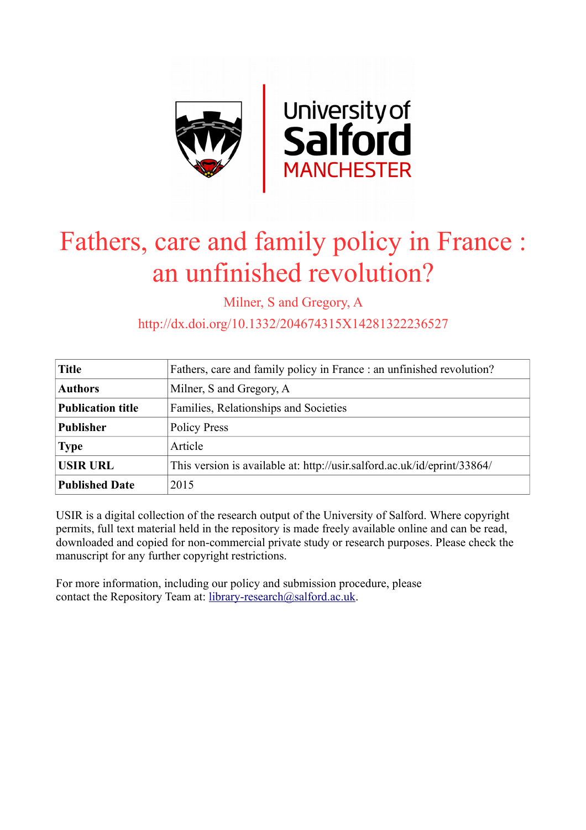

# Fathers, care and family policy in France : an unfinished revolution?

Milner, S and Gregory, A

http://dx.doi.org/10.1332/204674315X14281322236527

| <b>Title</b>             | Fathers, care and family policy in France : an unfinished revolution?    |
|--------------------------|--------------------------------------------------------------------------|
| <b>Authors</b>           | Milner, S and Gregory, A                                                 |
| <b>Publication title</b> | Families, Relationships and Societies                                    |
| <b>Publisher</b>         | <b>Policy Press</b>                                                      |
| <b>Type</b>              | Article                                                                  |
| <b>USIR URL</b>          | This version is available at: http://usir.salford.ac.uk/id/eprint/33864/ |
| <b>Published Date</b>    | 2015                                                                     |

USIR is a digital collection of the research output of the University of Salford. Where copyright permits, full text material held in the repository is made freely available online and can be read, downloaded and copied for non-commercial private study or research purposes. Please check the manuscript for any further copyright restrictions.

For more information, including our policy and submission procedure, please contact the Repository Team at: [library-research@salford.ac.uk.](mailto:library-research@salford.ac.uk)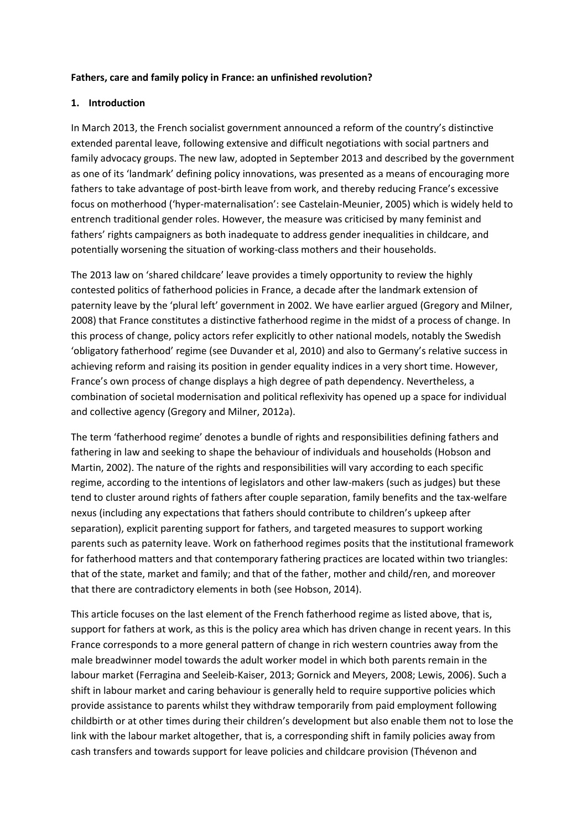## **Fathers, care and family policy in France: an unfinished revolution?**

## **1. Introduction**

In March 2013, the French socialist government announced a reform of the country's distinctive extended parental leave, following extensive and difficult negotiations with social partners and family advocacy groups. The new law, adopted in September 2013 and described by the government as one of its 'landmark' defining policy innovations, was presented as a means of encouraging more fathers to take advantage of post-birth leave from work, and thereby reducing France's excessive focus on motherhood ('hyper-maternalisation': see Castelain-Meunier, 2005) which is widely held to entrench traditional gender roles. However, the measure was criticised by many feminist and fathers' rights campaigners as both inadequate to address gender inequalities in childcare, and potentially worsening the situation of working-class mothers and their households.

The 2013 law on 'shared childcare' leave provides a timely opportunity to review the highly contested politics of fatherhood policies in France, a decade after the landmark extension of paternity leave by the 'plural left' government in 2002. We have earlier argued (Gregory and Milner, 2008) that France constitutes a distinctive fatherhood regime in the midst of a process of change. In this process of change, policy actors refer explicitly to other national models, notably the Swedish 'obligatory fatherhood' regime (see Duvander et al, 2010) and also to Germany's relative success in achieving reform and raising its position in gender equality indices in a very short time. However, France's own process of change displays a high degree of path dependency. Nevertheless, a combination of societal modernisation and political reflexivity has opened up a space for individual and collective agency (Gregory and Milner, 2012a).

The term 'fatherhood regime' denotes a bundle of rights and responsibilities defining fathers and fathering in law and seeking to shape the behaviour of individuals and households (Hobson and Martin, 2002). The nature of the rights and responsibilities will vary according to each specific regime, according to the intentions of legislators and other law-makers (such as judges) but these tend to cluster around rights of fathers after couple separation, family benefits and the tax-welfare nexus (including any expectations that fathers should contribute to children's upkeep after separation), explicit parenting support for fathers, and targeted measures to support working parents such as paternity leave. Work on fatherhood regimes posits that the institutional framework for fatherhood matters and that contemporary fathering practices are located within two triangles: that of the state, market and family; and that of the father, mother and child/ren, and moreover that there are contradictory elements in both (see Hobson, 2014).

This article focuses on the last element of the French fatherhood regime as listed above, that is, support for fathers at work, as this is the policy area which has driven change in recent years. In this France corresponds to a more general pattern of change in rich western countries away from the male breadwinner model towards the adult worker model in which both parents remain in the labour market (Ferragina and Seeleib-Kaiser, 2013; Gornick and Meyers, 2008; Lewis, 2006). Such a shift in labour market and caring behaviour is generally held to require supportive policies which provide assistance to parents whilst they withdraw temporarily from paid employment following childbirth or at other times during their children's development but also enable them not to lose the link with the labour market altogether, that is, a corresponding shift in family policies away from cash transfers and towards support for leave policies and childcare provision (Thévenon and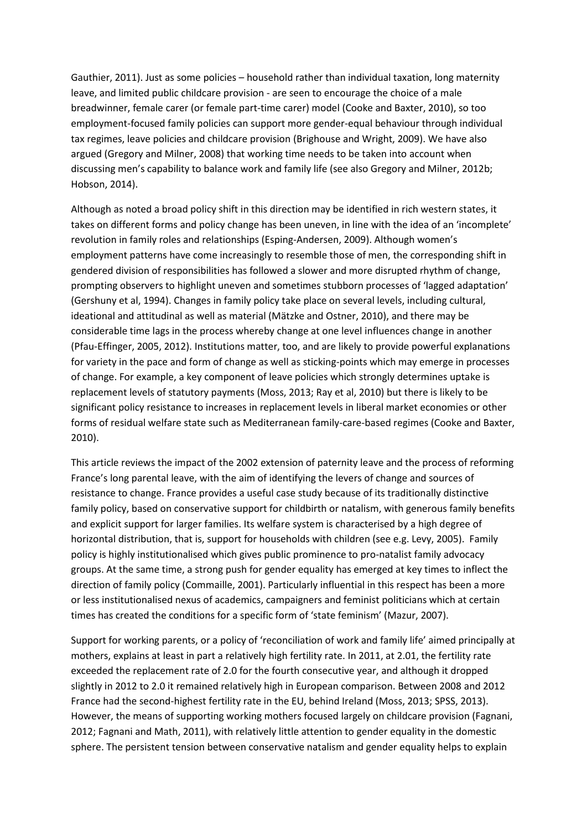Gauthier, 2011). Just as some policies – household rather than individual taxation, long maternity leave, and limited public childcare provision - are seen to encourage the choice of a male breadwinner, female carer (or female part-time carer) model (Cooke and Baxter, 2010), so too employment-focused family policies can support more gender-equal behaviour through individual tax regimes, leave policies and childcare provision (Brighouse and Wright, 2009). We have also argued (Gregory and Milner, 2008) that working time needs to be taken into account when discussing men's capability to balance work and family life (see also Gregory and Milner, 2012b; Hobson, 2014).

Although as noted a broad policy shift in this direction may be identified in rich western states, it takes on different forms and policy change has been uneven, in line with the idea of an 'incomplete' revolution in family roles and relationships (Esping-Andersen, 2009). Although women's employment patterns have come increasingly to resemble those of men, the corresponding shift in gendered division of responsibilities has followed a slower and more disrupted rhythm of change, prompting observers to highlight uneven and sometimes stubborn processes of 'lagged adaptation' (Gershuny et al, 1994). Changes in family policy take place on several levels, including cultural, ideational and attitudinal as well as material (Mätzke and Ostner, 2010), and there may be considerable time lags in the process whereby change at one level influences change in another (Pfau-Effinger, 2005, 2012). Institutions matter, too, and are likely to provide powerful explanations for variety in the pace and form of change as well as sticking-points which may emerge in processes of change. For example, a key component of leave policies which strongly determines uptake is replacement levels of statutory payments (Moss, 2013; Ray et al, 2010) but there is likely to be significant policy resistance to increases in replacement levels in liberal market economies or other forms of residual welfare state such as Mediterranean family-care-based regimes (Cooke and Baxter, 2010).

This article reviews the impact of the 2002 extension of paternity leave and the process of reforming France's long parental leave, with the aim of identifying the levers of change and sources of resistance to change. France provides a useful case study because of its traditionally distinctive family policy, based on conservative support for childbirth or natalism, with generous family benefits and explicit support for larger families. Its welfare system is characterised by a high degree of horizontal distribution, that is, support for households with children (see e.g. Levy, 2005). Family policy is highly institutionalised which gives public prominence to pro-natalist family advocacy groups. At the same time, a strong push for gender equality has emerged at key times to inflect the direction of family policy (Commaille, 2001). Particularly influential in this respect has been a more or less institutionalised nexus of academics, campaigners and feminist politicians which at certain times has created the conditions for a specific form of 'state feminism' (Mazur, 2007).

Support for working parents, or a policy of 'reconciliation of work and family life' aimed principally at mothers, explains at least in part a relatively high fertility rate. In 2011, at 2.01, the fertility rate exceeded the replacement rate of 2.0 for the fourth consecutive year, and although it dropped slightly in 2012 to 2.0 it remained relatively high in European comparison. Between 2008 and 2012 France had the second-highest fertility rate in the EU, behind Ireland (Moss, 2013; SPSS, 2013). However, the means of supporting working mothers focused largely on childcare provision (Fagnani, 2012; Fagnani and Math, 2011), with relatively little attention to gender equality in the domestic sphere. The persistent tension between conservative natalism and gender equality helps to explain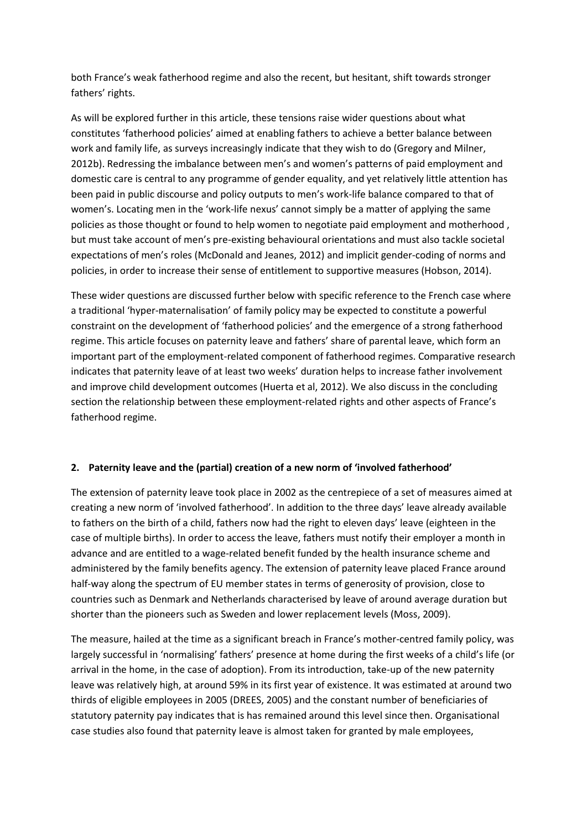both France's weak fatherhood regime and also the recent, but hesitant, shift towards stronger fathers' rights.

As will be explored further in this article, these tensions raise wider questions about what constitutes 'fatherhood policies' aimed at enabling fathers to achieve a better balance between work and family life, as surveys increasingly indicate that they wish to do (Gregory and Milner, 2012b). Redressing the imbalance between men's and women's patterns of paid employment and domestic care is central to any programme of gender equality, and yet relatively little attention has been paid in public discourse and policy outputs to men's work-life balance compared to that of women's. Locating men in the 'work-life nexus' cannot simply be a matter of applying the same policies as those thought or found to help women to negotiate paid employment and motherhood , but must take account of men's pre-existing behavioural orientations and must also tackle societal expectations of men's roles (McDonald and Jeanes, 2012) and implicit gender-coding of norms and policies, in order to increase their sense of entitlement to supportive measures (Hobson, 2014).

These wider questions are discussed further below with specific reference to the French case where a traditional 'hyper-maternalisation' of family policy may be expected to constitute a powerful constraint on the development of 'fatherhood policies' and the emergence of a strong fatherhood regime. This article focuses on paternity leave and fathers' share of parental leave, which form an important part of the employment-related component of fatherhood regimes. Comparative research indicates that paternity leave of at least two weeks' duration helps to increase father involvement and improve child development outcomes (Huerta et al, 2012). We also discuss in the concluding section the relationship between these employment-related rights and other aspects of France's fatherhood regime.

# **2. Paternity leave and the (partial) creation of a new norm of 'involved fatherhood'**

The extension of paternity leave took place in 2002 as the centrepiece of a set of measures aimed at creating a new norm of 'involved fatherhood'. In addition to the three days' leave already available to fathers on the birth of a child, fathers now had the right to eleven days' leave (eighteen in the case of multiple births). In order to access the leave, fathers must notify their employer a month in advance and are entitled to a wage-related benefit funded by the health insurance scheme and administered by the family benefits agency. The extension of paternity leave placed France around half-way along the spectrum of EU member states in terms of generosity of provision, close to countries such as Denmark and Netherlands characterised by leave of around average duration but shorter than the pioneers such as Sweden and lower replacement levels (Moss, 2009).

The measure, hailed at the time as a significant breach in France's mother-centred family policy, was largely successful in 'normalising' fathers' presence at home during the first weeks of a child's life (or arrival in the home, in the case of adoption). From its introduction, take-up of the new paternity leave was relatively high, at around 59% in its first year of existence. It was estimated at around two thirds of eligible employees in 2005 (DREES, 2005) and the constant number of beneficiaries of statutory paternity pay indicates that is has remained around this level since then. Organisational case studies also found that paternity leave is almost taken for granted by male employees,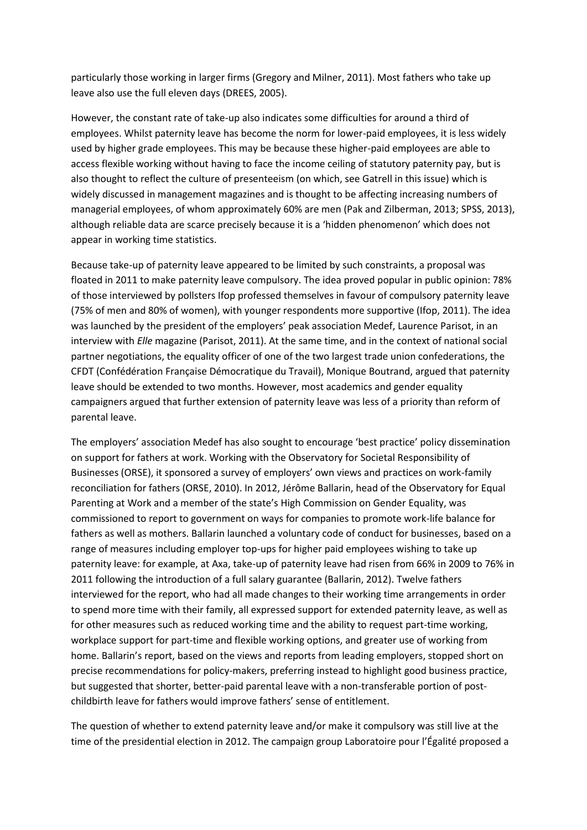particularly those working in larger firms (Gregory and Milner, 2011). Most fathers who take up leave also use the full eleven days (DREES, 2005).

However, the constant rate of take-up also indicates some difficulties for around a third of employees. Whilst paternity leave has become the norm for lower-paid employees, it is less widely used by higher grade employees. This may be because these higher-paid employees are able to access flexible working without having to face the income ceiling of statutory paternity pay, but is also thought to reflect the culture of presenteeism (on which, see Gatrell in this issue) which is widely discussed in management magazines and is thought to be affecting increasing numbers of managerial employees, of whom approximately 60% are men (Pak and Zilberman, 2013; SPSS, 2013), although reliable data are scarce precisely because it is a 'hidden phenomenon' which does not appear in working time statistics.

Because take-up of paternity leave appeared to be limited by such constraints, a proposal was floated in 2011 to make paternity leave compulsory. The idea proved popular in public opinion: 78% of those interviewed by pollsters Ifop professed themselves in favour of compulsory paternity leave (75% of men and 80% of women), with younger respondents more supportive (Ifop, 2011). The idea was launched by the president of the employers' peak association Medef, Laurence Parisot, in an interview with *Elle* magazine (Parisot, 2011). At the same time, and in the context of national social partner negotiations, the equality officer of one of the two largest trade union confederations, the CFDT (Confédération Française Démocratique du Travail), Monique Boutrand, argued that paternity leave should be extended to two months. However, most academics and gender equality campaigners argued that further extension of paternity leave was less of a priority than reform of parental leave.

The employers' association Medef has also sought to encourage 'best practice' policy dissemination on support for fathers at work. Working with the Observatory for Societal Responsibility of Businesses (ORSE), it sponsored a survey of employers' own views and practices on work-family reconciliation for fathers (ORSE, 2010). In 2012, Jérôme Ballarin, head of the Observatory for Equal Parenting at Work and a member of the state's High Commission on Gender Equality, was commissioned to report to government on ways for companies to promote work-life balance for fathers as well as mothers. Ballarin launched a voluntary code of conduct for businesses, based on a range of measures including employer top-ups for higher paid employees wishing to take up paternity leave: for example, at Axa, take-up of paternity leave had risen from 66% in 2009 to 76% in 2011 following the introduction of a full salary guarantee (Ballarin, 2012). Twelve fathers interviewed for the report, who had all made changes to their working time arrangements in order to spend more time with their family, all expressed support for extended paternity leave, as well as for other measures such as reduced working time and the ability to request part-time working, workplace support for part-time and flexible working options, and greater use of working from home. Ballarin's report, based on the views and reports from leading employers, stopped short on precise recommendations for policy-makers, preferring instead to highlight good business practice, but suggested that shorter, better-paid parental leave with a non-transferable portion of postchildbirth leave for fathers would improve fathers' sense of entitlement.

The question of whether to extend paternity leave and/or make it compulsory was still live at the time of the presidential election in 2012. The campaign group Laboratoire pour l'Égalité proposed a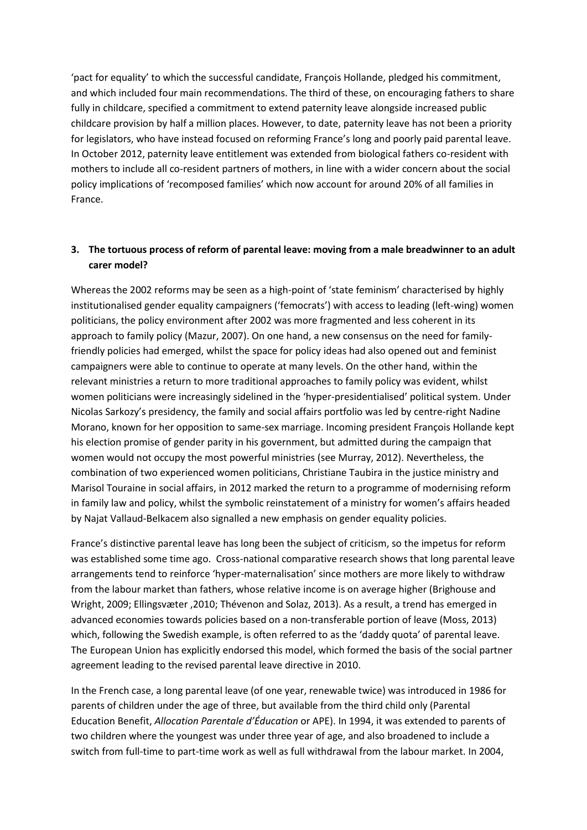'pact for equality' to which the successful candidate, François Hollande, pledged his commitment, and which included four main recommendations. The third of these, on encouraging fathers to share fully in childcare, specified a commitment to extend paternity leave alongside increased public childcare provision by half a million places. However, to date, paternity leave has not been a priority for legislators, who have instead focused on reforming France's long and poorly paid parental leave. In October 2012, paternity leave entitlement was extended from biological fathers co-resident with mothers to include all co-resident partners of mothers, in line with a wider concern about the social policy implications of 'recomposed families' which now account for around 20% of all families in France.

# **3. The tortuous process of reform of parental leave: moving from a male breadwinner to an adult carer model?**

Whereas the 2002 reforms may be seen as a high-point of 'state feminism' characterised by highly institutionalised gender equality campaigners ('femocrats') with access to leading (left-wing) women politicians, the policy environment after 2002 was more fragmented and less coherent in its approach to family policy (Mazur, 2007). On one hand, a new consensus on the need for familyfriendly policies had emerged, whilst the space for policy ideas had also opened out and feminist campaigners were able to continue to operate at many levels. On the other hand, within the relevant ministries a return to more traditional approaches to family policy was evident, whilst women politicians were increasingly sidelined in the 'hyper-presidentialised' political system. Under Nicolas Sarkozy's presidency, the family and social affairs portfolio was led by centre-right Nadine Morano, known for her opposition to same-sex marriage. Incoming president François Hollande kept his election promise of gender parity in his government, but admitted during the campaign that women would not occupy the most powerful ministries (see Murray, 2012). Nevertheless, the combination of two experienced women politicians, Christiane Taubira in the justice ministry and Marisol Touraine in social affairs, in 2012 marked the return to a programme of modernising reform in family law and policy, whilst the symbolic reinstatement of a ministry for women's affairs headed by Najat Vallaud-Belkacem also signalled a new emphasis on gender equality policies.

France's distinctive parental leave has long been the subject of criticism, so the impetus for reform was established some time ago. Cross-national comparative research shows that long parental leave arrangements tend to reinforce 'hyper-maternalisation' since mothers are more likely to withdraw from the labour market than fathers, whose relative income is on average higher (Brighouse and Wright, 2009; Ellingsvæter ,2010; Thévenon and Solaz, 2013). As a result, a trend has emerged in advanced economies towards policies based on a non-transferable portion of leave (Moss, 2013) which, following the Swedish example, is often referred to as the 'daddy quota' of parental leave. The European Union has explicitly endorsed this model, which formed the basis of the social partner agreement leading to the revised parental leave directive in 2010.

In the French case, a long parental leave (of one year, renewable twice) was introduced in 1986 for parents of children under the age of three, but available from the third child only (Parental Education Benefit, *Allocation Parentale d'Éducation* or APE). In 1994, it was extended to parents of two children where the youngest was under three year of age, and also broadened to include a switch from full-time to part-time work as well as full withdrawal from the labour market. In 2004,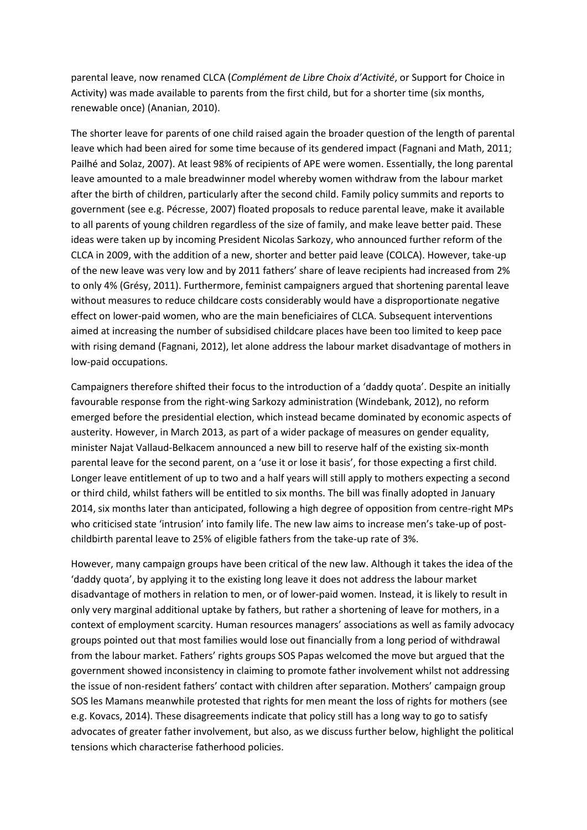parental leave, now renamed CLCA (*Complément de Libre Choix d'Activité*, or Support for Choice in Activity) was made available to parents from the first child, but for a shorter time (six months, renewable once) (Ananian, 2010).

The shorter leave for parents of one child raised again the broader question of the length of parental leave which had been aired for some time because of its gendered impact (Fagnani and Math, 2011; Pailhé and Solaz, 2007). At least 98% of recipients of APE were women. Essentially, the long parental leave amounted to a male breadwinner model whereby women withdraw from the labour market after the birth of children, particularly after the second child. Family policy summits and reports to government (see e.g. Pécresse, 2007) floated proposals to reduce parental leave, make it available to all parents of young children regardless of the size of family, and make leave better paid. These ideas were taken up by incoming President Nicolas Sarkozy, who announced further reform of the CLCA in 2009, with the addition of a new, shorter and better paid leave (COLCA). However, take-up of the new leave was very low and by 2011 fathers' share of leave recipients had increased from 2% to only 4% (Grésy, 2011). Furthermore, feminist campaigners argued that shortening parental leave without measures to reduce childcare costs considerably would have a disproportionate negative effect on lower-paid women, who are the main beneficiaires of CLCA. Subsequent interventions aimed at increasing the number of subsidised childcare places have been too limited to keep pace with rising demand (Fagnani, 2012), let alone address the labour market disadvantage of mothers in low-paid occupations.

Campaigners therefore shifted their focus to the introduction of a 'daddy quota'. Despite an initially favourable response from the right-wing Sarkozy administration (Windebank, 2012), no reform emerged before the presidential election, which instead became dominated by economic aspects of austerity. However, in March 2013, as part of a wider package of measures on gender equality, minister Najat Vallaud-Belkacem announced a new bill to reserve half of the existing six-month parental leave for the second parent, on a 'use it or lose it basis', for those expecting a first child. Longer leave entitlement of up to two and a half years will still apply to mothers expecting a second or third child, whilst fathers will be entitled to six months. The bill was finally adopted in January 2014, six months later than anticipated, following a high degree of opposition from centre-right MPs who criticised state 'intrusion' into family life. The new law aims to increase men's take-up of postchildbirth parental leave to 25% of eligible fathers from the take-up rate of 3%.

However, many campaign groups have been critical of the new law. Although it takes the idea of the 'daddy quota', by applying it to the existing long leave it does not address the labour market disadvantage of mothers in relation to men, or of lower-paid women. Instead, it is likely to result in only very marginal additional uptake by fathers, but rather a shortening of leave for mothers, in a context of employment scarcity. Human resources managers' associations as well as family advocacy groups pointed out that most families would lose out financially from a long period of withdrawal from the labour market. Fathers' rights groups SOS Papas welcomed the move but argued that the government showed inconsistency in claiming to promote father involvement whilst not addressing the issue of non-resident fathers' contact with children after separation. Mothers' campaign group SOS les Mamans meanwhile protested that rights for men meant the loss of rights for mothers (see e.g. Kovacs, 2014). These disagreements indicate that policy still has a long way to go to satisfy advocates of greater father involvement, but also, as we discuss further below, highlight the political tensions which characterise fatherhood policies.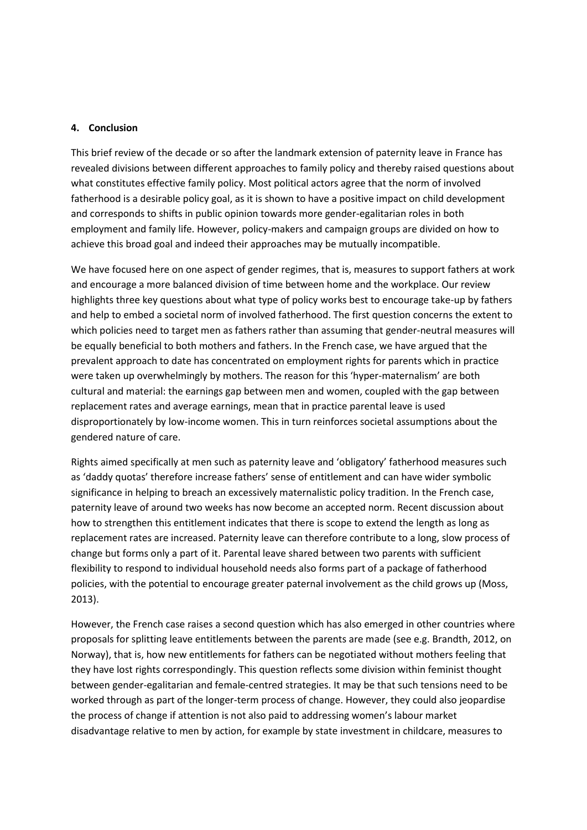#### **4. Conclusion**

This brief review of the decade or so after the landmark extension of paternity leave in France has revealed divisions between different approaches to family policy and thereby raised questions about what constitutes effective family policy. Most political actors agree that the norm of involved fatherhood is a desirable policy goal, as it is shown to have a positive impact on child development and corresponds to shifts in public opinion towards more gender-egalitarian roles in both employment and family life. However, policy-makers and campaign groups are divided on how to achieve this broad goal and indeed their approaches may be mutually incompatible.

We have focused here on one aspect of gender regimes, that is, measures to support fathers at work and encourage a more balanced division of time between home and the workplace. Our review highlights three key questions about what type of policy works best to encourage take-up by fathers and help to embed a societal norm of involved fatherhood. The first question concerns the extent to which policies need to target men as fathers rather than assuming that gender-neutral measures will be equally beneficial to both mothers and fathers. In the French case, we have argued that the prevalent approach to date has concentrated on employment rights for parents which in practice were taken up overwhelmingly by mothers. The reason for this 'hyper-maternalism' are both cultural and material: the earnings gap between men and women, coupled with the gap between replacement rates and average earnings, mean that in practice parental leave is used disproportionately by low-income women. This in turn reinforces societal assumptions about the gendered nature of care.

Rights aimed specifically at men such as paternity leave and 'obligatory' fatherhood measures such as 'daddy quotas' therefore increase fathers' sense of entitlement and can have wider symbolic significance in helping to breach an excessively maternalistic policy tradition. In the French case, paternity leave of around two weeks has now become an accepted norm. Recent discussion about how to strengthen this entitlement indicates that there is scope to extend the length as long as replacement rates are increased. Paternity leave can therefore contribute to a long, slow process of change but forms only a part of it. Parental leave shared between two parents with sufficient flexibility to respond to individual household needs also forms part of a package of fatherhood policies, with the potential to encourage greater paternal involvement as the child grows up (Moss, 2013).

However, the French case raises a second question which has also emerged in other countries where proposals for splitting leave entitlements between the parents are made (see e.g. Brandth, 2012, on Norway), that is, how new entitlements for fathers can be negotiated without mothers feeling that they have lost rights correspondingly. This question reflects some division within feminist thought between gender-egalitarian and female-centred strategies. It may be that such tensions need to be worked through as part of the longer-term process of change. However, they could also jeopardise the process of change if attention is not also paid to addressing women's labour market disadvantage relative to men by action, for example by state investment in childcare, measures to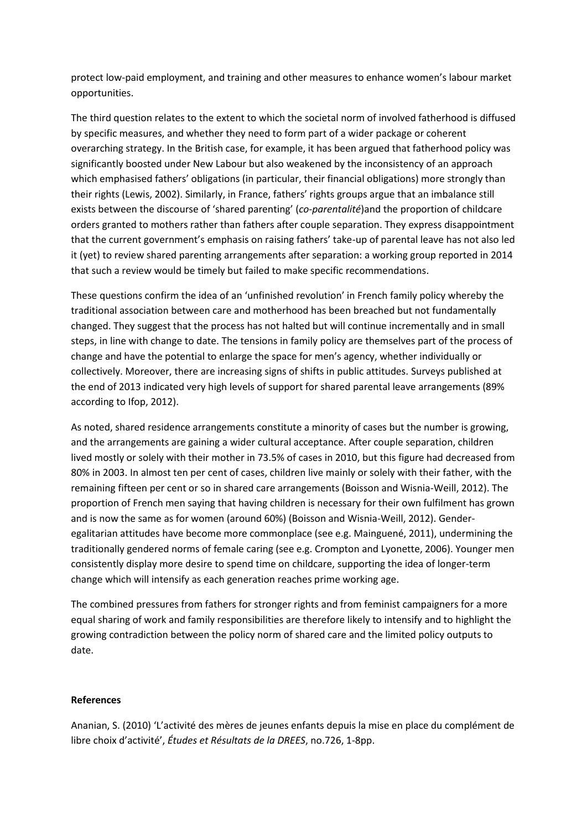protect low-paid employment, and training and other measures to enhance women's labour market opportunities.

The third question relates to the extent to which the societal norm of involved fatherhood is diffused by specific measures, and whether they need to form part of a wider package or coherent overarching strategy. In the British case, for example, it has been argued that fatherhood policy was significantly boosted under New Labour but also weakened by the inconsistency of an approach which emphasised fathers' obligations (in particular, their financial obligations) more strongly than their rights (Lewis, 2002). Similarly, in France, fathers' rights groups argue that an imbalance still exists between the discourse of 'shared parenting' (*co-parentalité*)and the proportion of childcare orders granted to mothers rather than fathers after couple separation. They express disappointment that the current government's emphasis on raising fathers' take-up of parental leave has not also led it (yet) to review shared parenting arrangements after separation: a working group reported in 2014 that such a review would be timely but failed to make specific recommendations.

These questions confirm the idea of an 'unfinished revolution' in French family policy whereby the traditional association between care and motherhood has been breached but not fundamentally changed. They suggest that the process has not halted but will continue incrementally and in small steps, in line with change to date. The tensions in family policy are themselves part of the process of change and have the potential to enlarge the space for men's agency, whether individually or collectively. Moreover, there are increasing signs of shifts in public attitudes. Surveys published at the end of 2013 indicated very high levels of support for shared parental leave arrangements (89% according to Ifop, 2012).

As noted, shared residence arrangements constitute a minority of cases but the number is growing, and the arrangements are gaining a wider cultural acceptance. After couple separation, children lived mostly or solely with their mother in 73.5% of cases in 2010, but this figure had decreased from 80% in 2003. In almost ten per cent of cases, children live mainly or solely with their father, with the remaining fifteen per cent or so in shared care arrangements (Boisson and Wisnia-Weill, 2012). The proportion of French men saying that having children is necessary for their own fulfilment has grown and is now the same as for women (around 60%) (Boisson and Wisnia-Weill, 2012). Genderegalitarian attitudes have become more commonplace (see e.g. Mainguené, 2011), undermining the traditionally gendered norms of female caring (see e.g. Crompton and Lyonette, 2006). Younger men consistently display more desire to spend time on childcare, supporting the idea of longer-term change which will intensify as each generation reaches prime working age.

The combined pressures from fathers for stronger rights and from feminist campaigners for a more equal sharing of work and family responsibilities are therefore likely to intensify and to highlight the growing contradiction between the policy norm of shared care and the limited policy outputs to date.

#### **References**

Ananian, S. (2010) 'L'activité des mères de jeunes enfants depuis la mise en place du complément de libre choix d'activité', *Études et Résultats de la DREES*, no.726, 1-8pp.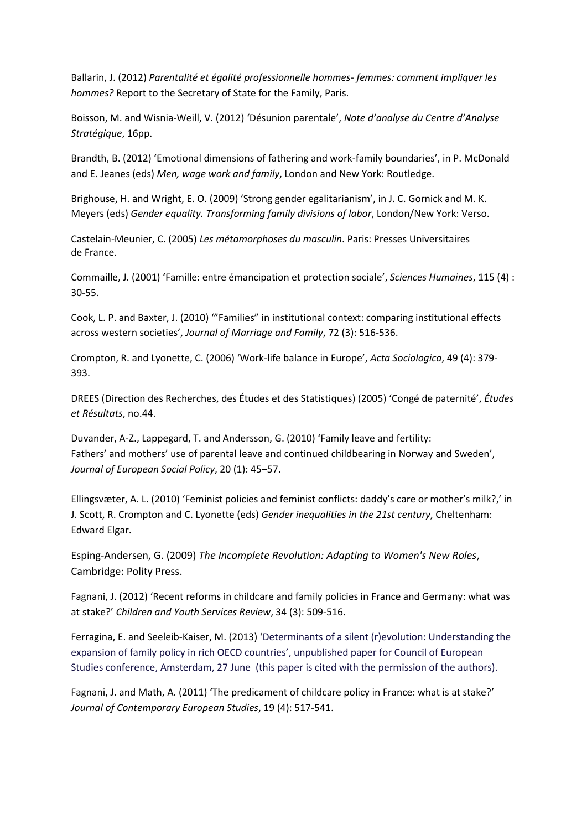Ballarin, J. (2012) *Parentalité et égalité professionnelle hommes- femmes: comment impliquer les hommes?* Report to the Secretary of State for the Family, Paris.

Boisson, M. and Wisnia-Weill, V. (2012) 'Désunion parentale', *Note d'analyse du Centre d'Analyse Stratégique*, 16pp.

Brandth, B. (2012) 'Emotional dimensions of fathering and work-family boundaries', in P. McDonald and E. Jeanes (eds) *Men, wage work and family*, London and New York: Routledge.

Brighouse, H. and Wright, E. O. (2009) 'Strong gender egalitarianism', in J. C. Gornick and M. K. Meyers (eds) *Gender equality. Transforming family divisions of labor*, London/New York: Verso.

Castelain-Meunier, C. (2005) *Les métamorphoses du masculin*. Paris: Presses Universitaires de France.

Commaille, J. (2001) 'Famille: entre émancipation et protection sociale', *Sciences Humaines*, 115 (4) : 30-55.

Cook, L. P. and Baxter, J. (2010) '"Families" in institutional context: comparing institutional effects across western societies', *Journal of Marriage and Family*, 72 (3): 516-536.

Crompton, R. and Lyonette, C. (2006) 'Work-life balance in Europe', *Acta Sociologica*, 49 (4): 379- 393.

DREES (Direction des Recherches, des Études et des Statistiques) (2005) 'Congé de paternité', *Études et Résultats*, no.44.

Duvander, A-Z., Lappegard, T. and Andersson, G. (2010) 'Family leave and fertility: Fathers' and mothers' use of parental leave and continued childbearing in Norway and Sweden', *Journal of European Social Policy*, 20 (1): 45–57.

Ellingsvæter, A. L. (2010) 'Feminist policies and feminist conflicts: daddy's care or mother's milk?,' in J. Scott, R. Crompton and C. Lyonette (eds) *Gender inequalities in the 21st century*, Cheltenham: Edward Elgar.

Esping-Andersen, G. (2009) *The Incomplete Revolution: Adapting to Women's New Roles*, Cambridge: Polity Press.

Fagnani, J. (2012) 'Recent reforms in childcare and family policies in France and Germany: what was at stake?' *Children and Youth Services Review*, 34 (3): 509-516.

Ferragina, E. and Seeleib-Kaiser, M. (2013) 'Determinants of a silent (r)evolution: Understanding the expansion of family policy in rich OECD countries', unpublished paper for Council of European Studies conference, Amsterdam, 27 June (this paper is cited with the permission of the authors).

Fagnani, J. and Math, A. (2011) 'The predicament of childcare policy in France: what is at stake?' *Journal of Contemporary European Studies*, 19 (4): 517-541.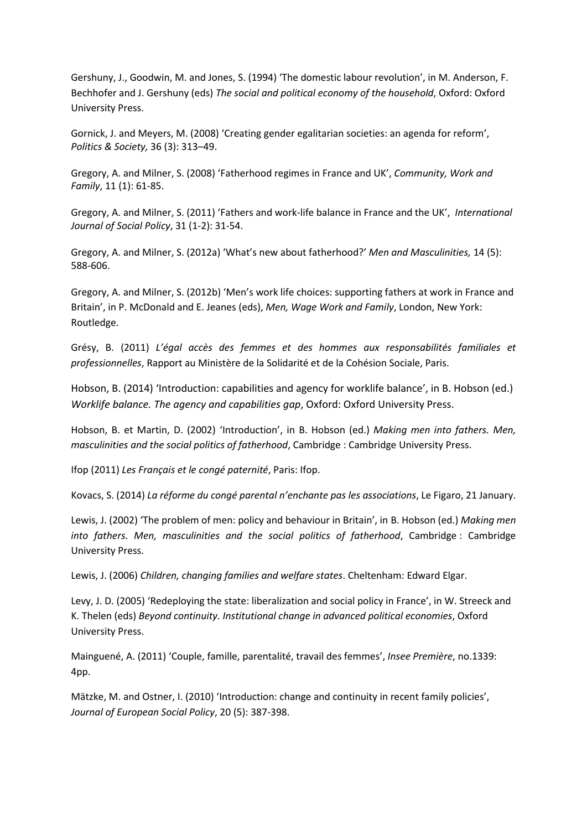Gershuny, J., Goodwin, M. and Jones, S. (1994) 'The domestic labour revolution', in M. Anderson, F. Bechhofer and J. Gershuny (eds) *The social and political economy of the household*, Oxford: Oxford University Press.

Gornick, J. and Meyers, M. (2008) 'Creating gender egalitarian societies: an agenda for reform', *Politics & Society,* 36 (3): 313–49.

Gregory, A. and Milner, S. (2008) 'Fatherhood regimes in France and UK', *Community, Work and Family*, 11 (1): 61-85.

Gregory, A. and Milner, S. (2011) 'Fathers and work-life balance in France and the UK', *International Journal of Social Policy*, 31 (1-2): 31-54.

Gregory, A. and Milner, S. (2012a) 'What's new about fatherhood?' *Men and Masculinities,* 14 (5): 588-606.

Gregory, A. and Milner, S. (2012b) 'Men's work life choices: supporting fathers at work in France and Britain', in P. McDonald and E. Jeanes (eds), *Men, Wage Work and Family*, London, New York: Routledge.

Grésy, B. (2011) *L'égal accès des femmes et des hommes aux responsabilités familiales et professionnelles*, Rapport au Ministère de la Solidarité et de la Cohésion Sociale, Paris.

Hobson, B. (2014) 'Introduction: capabilities and agency for worklife balance', in B. Hobson (ed.) *Worklife balance. The agency and capabilities gap*, Oxford: Oxford University Press.

Hobson, B. et Martin, D. (2002) 'Introduction', in B. Hobson (ed.) *Making men into fathers. Men, masculinities and the social politics of fatherhood*, Cambridge : Cambridge University Press.

Ifop (2011) *Les Français et le congé paternité*, Paris: Ifop.

Kovacs, S. (2014) *La réforme du congé parental n'enchante pas les associations*, Le Figaro, 21 January.

Lewis, J. (2002) 'The problem of men: policy and behaviour in Britain', in B. Hobson (ed.) *Making men into fathers. Men, masculinities and the social politics of fatherhood*, Cambridge : Cambridge University Press.

Lewis, J. (2006) *Children, changing families and welfare states*. Cheltenham: Edward Elgar.

Levy, J. D. (2005) 'Redeploying the state: liberalization and social policy in France', in W. Streeck and K. Thelen (eds) *Beyond continuity. Institutional change in advanced political economies*, Oxford University Press.

Mainguené, A. (2011) 'Couple, famille, parentalité, travail des femmes', *Insee Première*, no.1339: 4pp.

Mätzke, M. and Ostner, I. (2010) 'Introduction: change and continuity in recent family policies', *Journal of European Social Policy*, 20 (5): 387-398.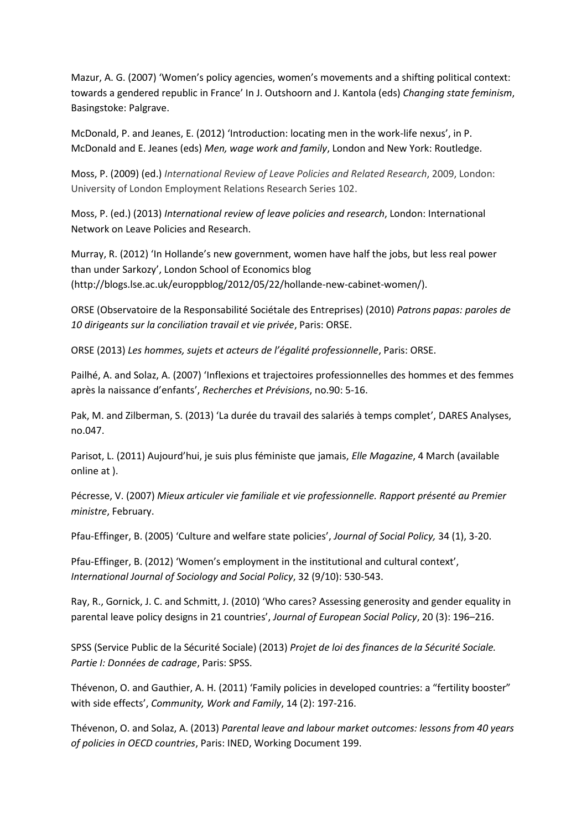Mazur, A. G. (2007) 'Women's policy agencies, women's movements and a shifting political context: towards a gendered republic in France' In J. Outshoorn and J. Kantola (eds) *Changing state feminism*, Basingstoke: Palgrave.

McDonald, P. and Jeanes, E. (2012) 'Introduction: locating men in the work-life nexus', in P. McDonald and E. Jeanes (eds) *Men, wage work and family*, London and New York: Routledge.

Moss, P. (2009) (ed.) *International Review of Leave Policies and Related Research*, 2009, London: University of London Employment Relations Research Series 102.

Moss, P. (ed.) (2013) *International review of leave policies and research*, London: International Network on Leave Policies and Research.

Murray, R. (2012) 'In Hollande's new government, women have half the jobs, but less real power than under Sarkozy', London School of Economics blog (http://blogs.lse.ac.uk/europpblog/2012/05/22/hollande-new-cabinet-women/).

ORSE (Observatoire de la Responsabilité Sociétale des Entreprises) (2010) *Patrons papas: paroles de 10 dirigeants sur la conciliation travail et vie privée*, Paris: ORSE.

ORSE (2013) *Les hommes, sujets et acteurs de l'égalité professionnelle*, Paris: ORSE.

Pailhé, A. and Solaz, A. (2007) 'Inflexions et trajectoires professionnelles des hommes et des femmes après la naissance d'enfants', *Recherches et Prévisions*, no.90: 5-16.

Pak, M. and Zilberman, S. (2013) 'La durée du travail des salariés à temps complet', DARES Analyses, no.047.

Parisot, L. (2011) Aujourd'hui, je suis plus féministe que jamais, *Elle Magazine*, 4 March (available online at ).

Pécresse, V. (2007) *Mieux articuler vie familiale et vie professionnelle. Rapport présenté au Premier ministre*, February.

Pfau-Effinger, B. (2005) 'Culture and welfare state policies', *Journal of Social Policy,* 34 (1), 3-20.

Pfau-Effinger, B. (2012) 'Women's employment in the institutional and cultural context', *International Journal of Sociology and Social Policy*, 32 (9/10): 530-543.

Ray, R., Gornick, J. C. and Schmitt, J. (2010) 'Who cares? Assessing generosity and gender equality in parental leave policy designs in 21 countries', *Journal of European Social Policy*, 20 (3): 196–216.

SPSS (Service Public de la Sécurité Sociale) (2013) *Projet de loi des finances de la Sécurité Sociale. Partie I: Données de cadrage*, Paris: SPSS.

Thévenon, O. and Gauthier, A. H. (2011) 'Family policies in developed countries: a "fertility booster" with side effects', *Community, Work and Family*, 14 (2): 197-216.

Thévenon, O. and Solaz, A. (2013) *Parental leave and labour market outcomes: lessons from 40 years of policies in OECD countries*, Paris: INED, Working Document 199.